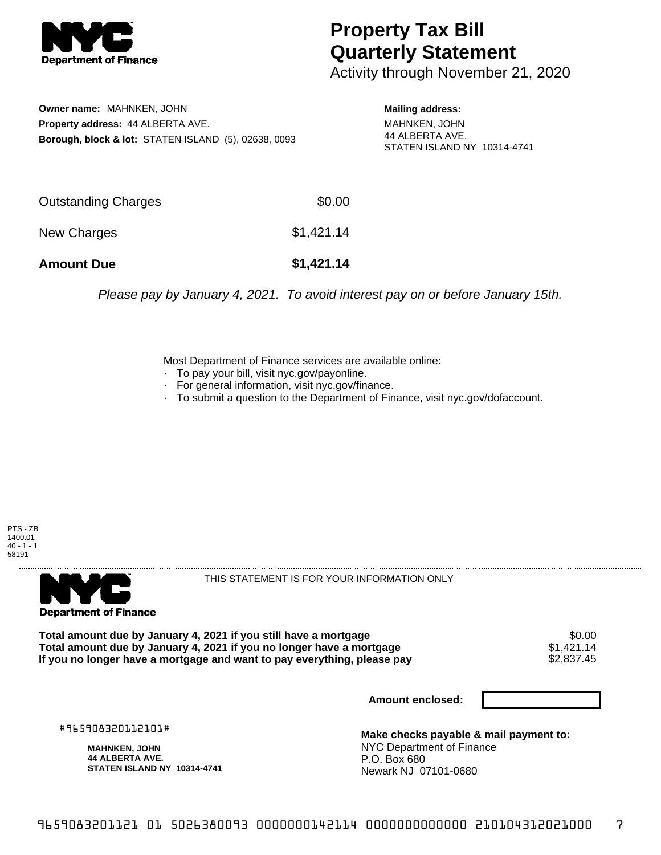

## **Property Tax Bill Quarterly Statement**

Activity through November 21, 2020

**Owner name:** MAHNKEN, JOHN **Property address:** 44 ALBERTA AVE. **Borough, block & lot:** STATEN ISLAND (5), 02638, 0093 **Mailing address:**

MAHNKEN, JOHN 44 ALBERTA AVE. STATEN ISLAND NY 10314-4741

| <b>Amount Due</b>   | \$1,421.14 |
|---------------------|------------|
| New Charges         | \$1,421.14 |
| Outstanding Charges | \$0.00     |

Please pay by January 4, 2021. To avoid interest pay on or before January 15th.

Most Department of Finance services are available online:

- · To pay your bill, visit nyc.gov/payonline.
- For general information, visit nyc.gov/finance.
- · To submit a question to the Department of Finance, visit nyc.gov/dofaccount.





THIS STATEMENT IS FOR YOUR INFORMATION ONLY

Total amount due by January 4, 2021 if you still have a mortgage \$0.00<br>Total amount due by January 4, 2021 if you no longer have a mortgage \$1.421.14 **Total amount due by January 4, 2021 if you no longer have a mortgage**  $$1,421.14$$ **<br>If you no longer have a mortgage and want to pay everything, please pay**  $$2,837.45$$ If you no longer have a mortgage and want to pay everything, please pay

**Amount enclosed:**

#965908320112101#

**MAHNKEN, JOHN 44 ALBERTA AVE. STATEN ISLAND NY 10314-4741**

**Make checks payable & mail payment to:** NYC Department of Finance P.O. Box 680 Newark NJ 07101-0680